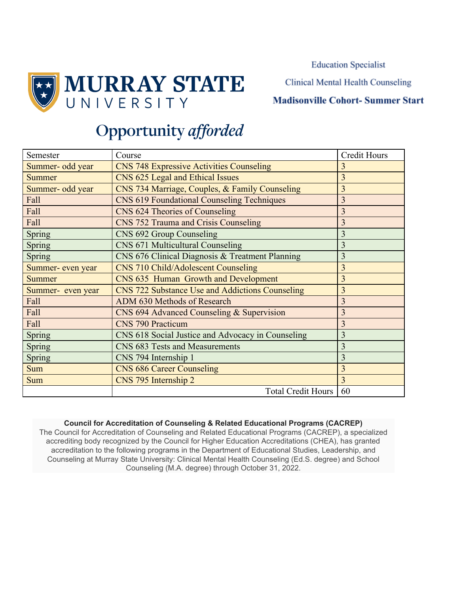**Education Specialist** 

**Clinical Mental Health Counseling** 

### **Madisonville Cohort-Summer Start**

# Opportunity afforded

**MURRAY STATE** 

UNIVERSITY

| Semester          | Course                                                 | <b>Credit Hours</b> |
|-------------------|--------------------------------------------------------|---------------------|
| Summer- odd year  | <b>CNS 748 Expressive Activities Counseling</b>        | 3                   |
| Summer            | CNS 625 Legal and Ethical Issues                       | 3                   |
| Summer- odd year  | CNS 734 Marriage, Couples, & Family Counseling         | 3                   |
| Fall              | <b>CNS 619 Foundational Counseling Techniques</b>      | 3                   |
| Fall              | CNS 624 Theories of Counseling                         | $\overline{3}$      |
| Fall              | CNS 752 Trauma and Crisis Counseling                   | 3                   |
| Spring            | CNS 692 Group Counseling                               | 3                   |
| Spring            | CNS 671 Multicultural Counseling                       | 3                   |
| Spring            | CNS 676 Clinical Diagnosis & Treatment Planning        | 3                   |
| Summer- even year | CNS 710 Child/Adolescent Counseling                    | 3                   |
| <b>Summer</b>     | CNS 635 Human Growth and Development                   | $\overline{3}$      |
| Summer- even year | <b>CNS 722 Substance Use and Addictions Counseling</b> | 3                   |
| Fall              | ADM 630 Methods of Research                            | 3                   |
| Fall              | CNS 694 Advanced Counseling & Supervision              | 3                   |
| Fall              | <b>CNS 790 Practicum</b>                               | 3                   |
| Spring            | CNS 618 Social Justice and Advocacy in Counseling      | 3                   |
| Spring            | CNS 683 Tests and Measurements                         | 3                   |
| Spring            | CNS 794 Internship 1                                   | 3                   |
| <b>Sum</b>        | <b>CNS 686 Career Counseling</b>                       | 3                   |
| <b>Sum</b>        | CNS 795 Internship 2                                   | 3                   |
|                   | <b>Total Credit Hours</b>                              | 60                  |

#### **Council for Accreditation of Counseling & Related Educational Programs (CACREP)**

The Council for Accreditation of Counseling and Related Educational Programs (CACREP), a specialized accrediting body recognized by the Council for Higher Education Accreditations (CHEA), has granted accreditation to the following programs in the Department of Educational Studies, Leadership, and Counseling at Murray State University: Clinical Mental Health Counseling (Ed.S. degree) and School Counseling (M.A. degree) through October 31, 2022.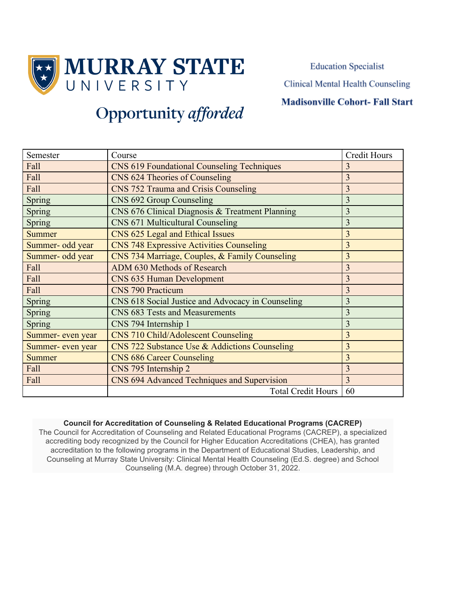

**Education Specialist Clinical Mental Health Counseling** 

## **Madisonville Cohort- Fall Start**

# **Opportunity** afforded

| Semester          | Course                                            | <b>Credit Hours</b> |
|-------------------|---------------------------------------------------|---------------------|
| Fall              | <b>CNS 619 Foundational Counseling Techniques</b> | 3                   |
| Fall              | CNS 624 Theories of Counseling                    | $\overline{3}$      |
| Fall              | CNS 752 Trauma and Crisis Counseling              | $\overline{3}$      |
| Spring            | CNS 692 Group Counseling                          | $\overline{3}$      |
| <b>Spring</b>     | CNS 676 Clinical Diagnosis & Treatment Planning   | 3                   |
| <b>Spring</b>     | <b>CNS 671 Multicultural Counseling</b>           | 3                   |
| <b>Summer</b>     | CNS 625 Legal and Ethical Issues                  | 3                   |
| Summer- odd year  | <b>CNS 748 Expressive Activities Counseling</b>   | 3                   |
| Summer- odd year  | CNS 734 Marriage, Couples, & Family Counseling    | 3                   |
| Fall              | ADM 630 Methods of Research                       | $\overline{3}$      |
| Fall              | CNS 635 Human Development                         | $\overline{3}$      |
| Fall              | <b>CNS 790 Practicum</b>                          | 3                   |
| Spring            | CNS 618 Social Justice and Advocacy in Counseling | 3                   |
| Spring            | CNS 683 Tests and Measurements                    | 3                   |
| <b>Spring</b>     | CNS 794 Internship 1                              | $\overline{3}$      |
| Summer- even year | <b>CNS 710 Child/Adolescent Counseling</b>        | 3                   |
| Summer- even year | CNS 722 Substance Use & Addictions Counseling     | 3                   |
| <b>Summer</b>     | <b>CNS 686 Career Counseling</b>                  | $\overline{3}$      |
| Fall              | CNS 795 Internship 2                              | 3                   |
| Fall              | CNS 694 Advanced Techniques and Supervision       | 3                   |
|                   | <b>Total Credit Hours</b>                         | 60                  |

#### **Council for Accreditation of Counseling & Related Educational Programs (CACREP)**

The Council for Accreditation of Counseling and Related Educational Programs (CACREP), a specialized accrediting body recognized by the Council for Higher Education Accreditations (CHEA), has granted accreditation to the following programs in the Department of Educational Studies, Leadership, and Counseling at Murray State University: Clinical Mental Health Counseling (Ed.S. degree) and School Counseling (M.A. degree) through October 31, 2022.